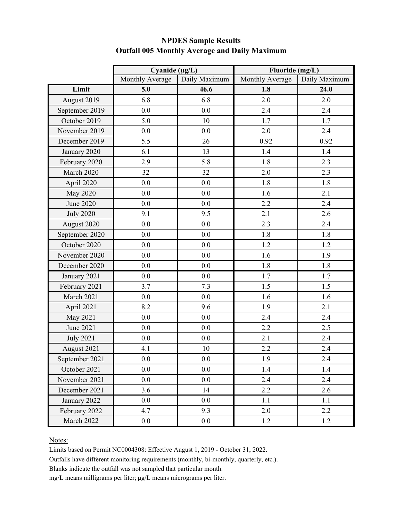|                  | Cyanide $(\mu g/L)$ |               | Fluoride (mg/L) |               |
|------------------|---------------------|---------------|-----------------|---------------|
|                  | Monthly Average     | Daily Maximum | Monthly Average | Daily Maximum |
| Limit            | 5.0                 | 46.6          | 1.8             | 24.0          |
| August 2019      | 6.8                 | 6.8           | 2.0             | 2.0           |
| September 2019   | 0.0                 | 0.0           | 2.4             | 2.4           |
| October 2019     | 5.0                 | 10            | 1.7             | 1.7           |
| November 2019    | 0.0                 | 0.0           | 2.0             | 2.4           |
| December 2019    | 5.5                 | 26            | 0.92            | 0.92          |
| January 2020     | 6.1                 | 13            | 1.4             | 1.4           |
| February 2020    | 2.9                 | 5.8           | 1.8             | 2.3           |
| March 2020       | 32                  | 32            | 2.0             | 2.3           |
| April 2020       | 0.0                 | 0.0           | 1.8             | 1.8           |
| <b>May 2020</b>  | 0.0                 | 0.0           | 1.6             | 2.1           |
| <b>June 2020</b> | 0.0                 | 0.0           | 2.2             | 2.4           |
| <b>July 2020</b> | 9.1                 | 9.5           | 2.1             | 2.6           |
| August 2020      | 0.0                 | 0.0           | 2.3             | 2.4           |
| September 2020   | 0.0                 | 0.0           | 1.8             | 1.8           |
| October 2020     | 0.0                 | 0.0           | 1.2             | 1.2           |
| November 2020    | 0.0                 | 0.0           | 1.6             | 1.9           |
| December 2020    | 0.0                 | 0.0           | 1.8             | 1.8           |
| January 2021     | 0.0                 | 0.0           | 1.7             | 1.7           |
| February 2021    | 3.7                 | 7.3           | 1.5             | 1.5           |
| March 2021       | 0.0                 | 0.0           | 1.6             | 1.6           |
| April 2021       | 8.2                 | 9.6           | 1.9             | 2.1           |
| May 2021         | 0.0                 | 0.0           | 2.4             | 2.4           |
| June 2021        | 0.0                 | 0.0           | 2.2             | 2.5           |
| <b>July 2021</b> | 0.0                 | 0.0           | 2.1             | 2.4           |
| August 2021      | 4.1                 | 10            | 2.2             | 2.4           |
| September 2021   | 0.0                 | 0.0           | 1.9             | 2.4           |
| October 2021     | 0.0                 | 0.0           | 1.4             | 1.4           |
| November 2021    | 0.0                 | 0.0           | 2.4             | 2.4           |
| December 2021    | 3.6                 | 14            | 2.2             | 2.6           |
| January 2022     | 0.0                 | 0.0           | 1.1             | 1.1           |
| February 2022    | 4.7                 | 9.3           | 2.0             | 2.2           |
| March 2022       | $0.0\,$             | 0.0           | 1.2             | 1.2           |

# **NPDES Sample Results Outfall 005 Monthly Average and Daily Maximum**

#### Notes:

Limits based on Permit NC0004308: Effective August 1, 2019 - October 31, 2022.

Outfalls have different monitoring requirements (monthly, bi-monthly, quarterly, etc.).

Blanks indicate the outfall was not sampled that particular month.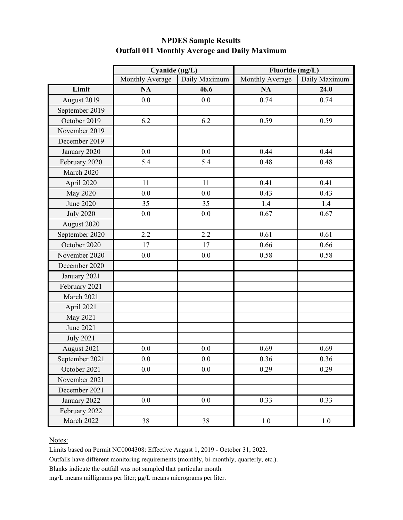|                  | Cyanide $(\mu g/L)$ |               | Fluoride (mg/L) |               |
|------------------|---------------------|---------------|-----------------|---------------|
|                  | Monthly Average     | Daily Maximum | Monthly Average | Daily Maximum |
| Limit            | <b>NA</b>           | 46.6          | <b>NA</b>       | 24.0          |
| August 2019      | 0.0                 | 0.0           | 0.74            | 0.74          |
| September 2019   |                     |               |                 |               |
| October 2019     | 6.2                 | 6.2           | 0.59            | 0.59          |
| November 2019    |                     |               |                 |               |
| December 2019    |                     |               |                 |               |
| January 2020     | 0.0                 | 0.0           | 0.44            | 0.44          |
| February 2020    | 5.4                 | 5.4           | 0.48            | 0.48          |
| March 2020       |                     |               |                 |               |
| April 2020       | 11                  | 11            | 0.41            | 0.41          |
| <b>May 2020</b>  | 0.0                 | 0.0           | 0.43            | 0.43          |
| <b>June 2020</b> | 35                  | 35            | 1.4             | 1.4           |
| <b>July 2020</b> | 0.0                 | 0.0           | 0.67            | 0.67          |
| August 2020      |                     |               |                 |               |
| September 2020   | 2.2                 | 2.2           | 0.61            | 0.61          |
| October 2020     | 17                  | 17            | 0.66            | 0.66          |
| November 2020    | 0.0                 | 0.0           | 0.58            | 0.58          |
| December 2020    |                     |               |                 |               |
| January 2021     |                     |               |                 |               |
| February 2021    |                     |               |                 |               |
| March 2021       |                     |               |                 |               |
| April 2021       |                     |               |                 |               |
| May 2021         |                     |               |                 |               |
| June 2021        |                     |               |                 |               |
| <b>July 2021</b> |                     |               |                 |               |
| August 2021      | 0.0                 | 0.0           | 0.69            | 0.69          |
| September 2021   | 0.0                 | 0.0           | 0.36            | 0.36          |
| October 2021     | 0.0                 | 0.0           | 0.29            | 0.29          |
| November 2021    |                     |               |                 |               |
| December 2021    |                     |               |                 |               |
| January 2022     | 0.0                 | 0.0           | 0.33            | 0.33          |
| February 2022    |                     |               |                 |               |
| March 2022       | 38                  | 38            | 1.0             | 1.0           |

# **NPDES Sample Results Outfall 011 Monthly Average and Daily Maximum**

#### Notes:

Limits based on Permit NC0004308: Effective August 1, 2019 - October 31, 2022.

Outfalls have different monitoring requirements (monthly, bi-monthly, quarterly, etc.).

Blanks indicate the outfall was not sampled that particular month.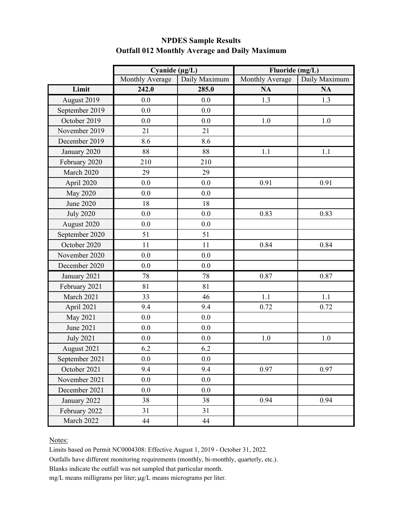|                  | Cyanide $(\mu g/L)$ |               | Fluoride (mg/L) |               |
|------------------|---------------------|---------------|-----------------|---------------|
|                  | Monthly Average     | Daily Maximum | Monthly Average | Daily Maximum |
| Limit            | 242.0               | 285.0         | <b>NA</b>       | <b>NA</b>     |
| August 2019      | 0.0                 | 0.0           | 1.3             | 1.3           |
| September 2019   | 0.0                 | 0.0           |                 |               |
| October 2019     | 0.0                 | 0.0           | 1.0             | 1.0           |
| November 2019    | 21                  | 21            |                 |               |
| December 2019    | 8.6                 | 8.6           |                 |               |
| January 2020     | 88                  | 88            | 1.1             | 1.1           |
| February 2020    | 210                 | 210           |                 |               |
| March 2020       | 29                  | 29            |                 |               |
| April 2020       | 0.0                 | 0.0           | 0.91            | 0.91          |
| <b>May 2020</b>  | 0.0                 | 0.0           |                 |               |
| <b>June 2020</b> | 18                  | 18            |                 |               |
| <b>July 2020</b> | 0.0                 | 0.0           | 0.83            | 0.83          |
| August 2020      | 0.0                 | 0.0           |                 |               |
| September 2020   | 51                  | 51            |                 |               |
| October 2020     | 11                  | 11            | 0.84            | 0.84          |
| November 2020    | 0.0                 | 0.0           |                 |               |
| December 2020    | 0.0                 | 0.0           |                 |               |
| January 2021     | 78                  | 78            | 0.87            | 0.87          |
| February 2021    | 81                  | 81            |                 |               |
| March 2021       | 33                  | 46            | 1.1             | 1.1           |
| April 2021       | 9.4                 | 9.4           | 0.72            | 0.72          |
| May 2021         | 0.0                 | 0.0           |                 |               |
| June 2021        | 0.0                 | 0.0           |                 |               |
| <b>July 2021</b> | 0.0                 | 0.0           | 1.0             | $1.0\,$       |
| August 2021      | 6.2                 | 6.2           |                 |               |
| September 2021   | 0.0                 | 0.0           |                 |               |
| October 2021     | 9.4                 | 9.4           | 0.97            | 0.97          |
| November 2021    | 0.0                 | 0.0           |                 |               |
| December 2021    | 0.0                 | 0.0           |                 |               |
| January 2022     | 38                  | 38            | 0.94            | 0.94          |
| February 2022    | 31                  | 31            |                 |               |
| March 2022       | 44                  | 44            |                 |               |

### **NPDES Sample Results Outfall 012 Monthly Average and Daily Maximum**

#### Notes:

Limits based on Permit NC0004308: Effective August 1, 2019 - October 31, 2022.

Outfalls have different monitoring requirements (monthly, bi-monthly, quarterly, etc.).

Blanks indicate the outfall was not sampled that particular month.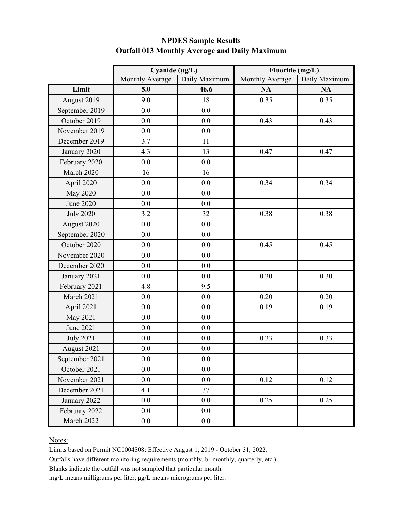|                  | Cyanide ( $\mu$ g/L) |               | Fluoride (mg/L) |               |
|------------------|----------------------|---------------|-----------------|---------------|
|                  | Monthly Average      | Daily Maximum | Monthly Average | Daily Maximum |
| Limit            | 5.0                  | 46.6          | <b>NA</b>       | <b>NA</b>     |
| August 2019      | 9.0                  | 18            | 0.35            | 0.35          |
| September 2019   | 0.0                  | 0.0           |                 |               |
| October 2019     | 0.0                  | 0.0           | 0.43            | 0.43          |
| November 2019    | 0.0                  | 0.0           |                 |               |
| December 2019    | 3.7                  | 11            |                 |               |
| January 2020     | 4.3                  | 13            | 0.47            | 0.47          |
| February 2020    | 0.0                  | 0.0           |                 |               |
| March 2020       | 16                   | 16            |                 |               |
| April 2020       | 0.0                  | 0.0           | 0.34            | 0.34          |
| <b>May 2020</b>  | 0.0                  | 0.0           |                 |               |
| June 2020        | 0.0                  | 0.0           |                 |               |
| <b>July 2020</b> | 3.2                  | 32            | 0.38            | 0.38          |
| August 2020      | 0.0                  | 0.0           |                 |               |
| September 2020   | 0.0                  | 0.0           |                 |               |
| October 2020     | 0.0                  | 0.0           | 0.45            | 0.45          |
| November 2020    | 0.0                  | 0.0           |                 |               |
| December 2020    | 0.0                  | 0.0           |                 |               |
| January 2021     | 0.0                  | 0.0           | 0.30            | 0.30          |
| February 2021    | 4.8                  | 9.5           |                 |               |
| March 2021       | 0.0                  | 0.0           | 0.20            | 0.20          |
| April 2021       | 0.0                  | 0.0           | 0.19            | 0.19          |
| May 2021         | 0.0                  | 0.0           |                 |               |
| June 2021        | 0.0                  | 0.0           |                 |               |
| <b>July 2021</b> | 0.0                  | 0.0           | 0.33            | 0.33          |
| August 2021      | 0.0                  | 0.0           |                 |               |
| September 2021   | 0.0                  | 0.0           |                 |               |
| October 2021     | 0.0                  | 0.0           |                 |               |
| November 2021    | 0.0                  | 0.0           | 0.12            | 0.12          |
| December 2021    | 4.1                  | 37            |                 |               |
| January 2022     | 0.0                  | 0.0           | 0.25            | 0.25          |
| February 2022    | 0.0                  | 0.0           |                 |               |
| March 2022       | 0.0                  | 0.0           |                 |               |

### **NPDES Sample Results Outfall 013 Monthly Average and Daily Maximum**

#### Notes:

Limits based on Permit NC0004308: Effective August 1, 2019 - October 31, 2022.

Outfalls have different monitoring requirements (monthly, bi-monthly, quarterly, etc.).

Blanks indicate the outfall was not sampled that particular month.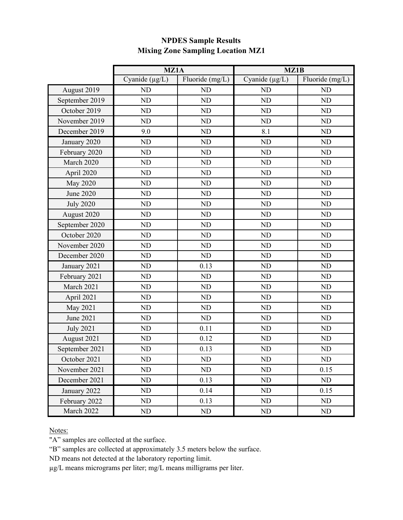|                  | MZ1A                |                 | MZ1B                |                 |
|------------------|---------------------|-----------------|---------------------|-----------------|
|                  | Cyanide $(\mu g/L)$ | Fluoride (mg/L) | Cyanide $(\mu g/L)$ | Fluoride (mg/L) |
| August 2019      | ND                  | N <sub>D</sub>  | ND                  | ND              |
| September 2019   | <b>ND</b>           | ND              | <b>ND</b>           | <b>ND</b>       |
| October 2019     | ND                  | ND              | ND                  | ND              |
| November 2019    | ND                  | <b>ND</b>       | <b>ND</b>           | ND              |
| December 2019    | 9.0                 | <b>ND</b>       | 8.1                 | <b>ND</b>       |
| January 2020     | ND                  | ND              | N <sub>D</sub>      | ND              |
| February 2020    | ND                  | ND              | ND                  | ND              |
| March 2020       | <b>ND</b>           | <b>ND</b>       | <b>ND</b>           | <b>ND</b>       |
| April 2020       | ND                  | ND              | N <sub>D</sub>      | ND              |
| <b>May 2020</b>  | <b>ND</b>           | ND              | <b>ND</b>           | <b>ND</b>       |
| <b>June 2020</b> | <b>ND</b>           | ND              | <b>ND</b>           | <b>ND</b>       |
| <b>July 2020</b> | ND                  | ND              | <b>ND</b>           | ND              |
| August 2020      | ND                  | ND              | <b>ND</b>           | ND              |
| September 2020   | <b>ND</b>           | ND              | <b>ND</b>           | <b>ND</b>       |
| October 2020     | ND                  | ND              | <b>ND</b>           | ND              |
| November 2020    | ND                  | ND              | <b>ND</b>           | ND              |
| December 2020    | ND                  | ND              | <b>ND</b>           | ND              |
| January 2021     | ND                  | 0.13            | <b>ND</b>           | <b>ND</b>       |
| February 2021    | ND                  | ND              | <b>ND</b>           | ND              |
| March 2021       | ND                  | ND              | <b>ND</b>           | <b>ND</b>       |
| April 2021       | ND                  | ND              | <b>ND</b>           | ND              |
| May 2021         | <b>ND</b>           | ND              | <b>ND</b>           | <b>ND</b>       |
| June 2021        | ND                  | ND              | <b>ND</b>           | ND              |
| <b>July 2021</b> | <b>ND</b>           | 0.11            | <b>ND</b>           | <b>ND</b>       |
| August 2021      | ND                  | 0.12            | ND                  | ND              |
| September 2021   | ND                  | 0.13            | <b>ND</b>           | ND              |
| October 2021     | ${\rm ND}$          | ${\rm ND}$      | ND                  | ND              |
| November 2021    | <b>ND</b>           | ND              | ND                  | 0.15            |
| December 2021    | ND                  | 0.13            | N <sub>D</sub>      | ND              |
| January 2022     | N <sub>D</sub>      | 0.14            | ND                  | 0.15            |
| February 2022    | <b>ND</b>           | 0.13            | ND                  | ND              |
| March 2022       | ND                  | ND              | ND                  | ND              |

# **NPDES Sample Results Mixing Zone Sampling Location MZ1**

Notes:

"A" samples are collected at the surface.

"B" samples are collected at approximately 3.5 meters below the surface.

ND means not detected at the laboratory reporting limit.

µg/L means micrograms per liter; mg/L means milligrams per liter.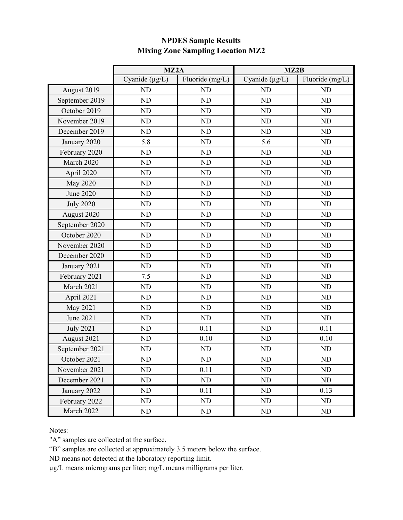|                  | MZ2A                |                 | MZ2B                |                 |
|------------------|---------------------|-----------------|---------------------|-----------------|
|                  | Cyanide $(\mu g/L)$ | Fluoride (mg/L) | Cyanide $(\mu g/L)$ | Fluoride (mg/L) |
| August 2019      | ND                  | ND              | ND                  | ND              |
| September 2019   | <b>ND</b>           | ND              | <b>ND</b>           | <b>ND</b>       |
| October 2019     | ND                  | ND              | <b>ND</b>           | <b>ND</b>       |
| November 2019    | ND                  | ND              | <b>ND</b>           | ND              |
| December 2019    | <b>ND</b>           | ND              | <b>ND</b>           | <b>ND</b>       |
| January 2020     | 5.8                 | ND              | 5.6                 | ND              |
| February 2020    | ND                  | ND              | <b>ND</b>           | <b>ND</b>       |
| March 2020       | <b>ND</b>           | ND              | <b>ND</b>           | <b>ND</b>       |
| April 2020       | ND                  | ND              | ND                  | ND              |
| <b>May 2020</b>  | <b>ND</b>           | ND              | ND                  | <b>ND</b>       |
| June 2020        | <b>ND</b>           | ND              | <b>ND</b>           | <b>ND</b>       |
| <b>July 2020</b> | ND                  | ND              | ND                  | ND              |
| August 2020      | ND                  | ND              | ND                  | ND              |
| September 2020   | <b>ND</b>           | ND              | ND                  | <b>ND</b>       |
| October 2020     | ND                  | ND              | ND                  | ND              |
| November 2020    | <b>ND</b>           | ND              | <b>ND</b>           | <b>ND</b>       |
| December 2020    | ND                  | ND              | ND                  | ND              |
| January 2021     | <b>ND</b>           | ND              | <b>ND</b>           | <b>ND</b>       |
| February 2021    | 7.5                 | ND              | ND                  | <b>ND</b>       |
| March 2021       | ND                  | ND              | N <sub>D</sub>      | ND              |
| April 2021       | ND                  | ND              | ND                  | <b>ND</b>       |
| May 2021         | ND                  | ND              | ND                  | $\rm ND$        |
| June 2021        | ND                  | ND              | <b>ND</b>           | ND              |
| <b>July 2021</b> | <b>ND</b>           | 0.11            | ND                  | 0.11            |
| August 2021      | ND                  | 0.10            | ND                  | 0.10            |
| September 2021   | ND                  | ND              | <b>ND</b>           | ND              |
| October 2021     | ${\rm ND}$          | ND              | ND                  | ND              |
| November 2021    | ND                  | 0.11            | ND                  | <b>ND</b>       |
| December 2021    | ND                  | ND              | N <sub>D</sub>      | ND              |
| January 2022     | ND                  | 0.11            | N <sub>D</sub>      | 0.13            |
| February 2022    | ND                  | ND              | ND                  | ND              |
| March 2022       | ND                  | ND              | ND                  | ND              |

# **NPDES Sample Results Mixing Zone Sampling Location MZ2**

Notes:

"A" samples are collected at the surface.

"B" samples are collected at approximately 3.5 meters below the surface.

ND means not detected at the laboratory reporting limit.

µg/L means micrograms per liter; mg/L means milligrams per liter.